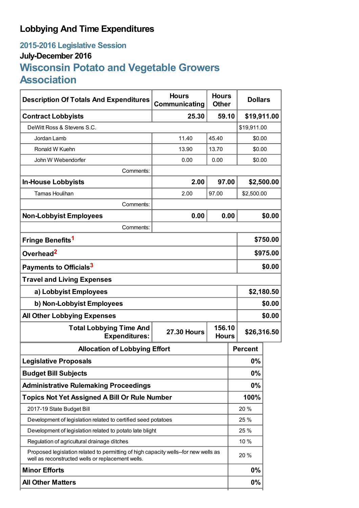# **Lobbying And Time Expenditures**

# **2015-2016 Legislative Session July-December 2016 Wisconsin Potato and Vegetable Growers Association**

| <b>Description Of Totals And Expenditures</b>                                                                                            | <b>Hours</b><br>Communicating                | <b>Hours</b><br><b>Other</b> | <b>Dollars</b> |             |  |
|------------------------------------------------------------------------------------------------------------------------------------------|----------------------------------------------|------------------------------|----------------|-------------|--|
| <b>Contract Lobbyists</b>                                                                                                                | 25.30                                        | 59.10                        | \$19,911.00    |             |  |
| DeWitt Ross & Stevens S.C.                                                                                                               |                                              |                              | \$19,911.00    |             |  |
| Jordan Lamb                                                                                                                              | 11.40                                        | 45.40                        | \$0.00         |             |  |
| Ronald W Kuehn                                                                                                                           | 13.90                                        | 13.70                        | \$0.00         |             |  |
| John W Webendorfer                                                                                                                       | 0.00                                         | 0.00                         | \$0.00         |             |  |
| Comments:                                                                                                                                |                                              |                              |                |             |  |
| <b>In-House Lobbyists</b>                                                                                                                | 2.00                                         | 97.00                        |                | \$2,500.00  |  |
| <b>Tamas Houlihan</b>                                                                                                                    | 2.00                                         | 97.00                        | \$2,500.00     |             |  |
| Comments:                                                                                                                                |                                              |                              |                |             |  |
| <b>Non-Lobbyist Employees</b>                                                                                                            | 0.00                                         | 0.00                         |                | \$0.00      |  |
| Comments:                                                                                                                                |                                              |                              |                |             |  |
| Fringe Benefits <sup>1</sup>                                                                                                             |                                              |                              |                | \$750.00    |  |
| Overhead <sup>2</sup>                                                                                                                    |                                              |                              |                | \$975.00    |  |
| Payments to Officials <sup>3</sup>                                                                                                       |                                              |                              |                | \$0.00      |  |
| <b>Travel and Living Expenses</b>                                                                                                        |                                              |                              |                |             |  |
| a) Lobbyist Employees                                                                                                                    |                                              |                              | \$2,180.50     |             |  |
| b) Non-Lobbyist Employees                                                                                                                |                                              |                              | \$0.00         |             |  |
| <b>All Other Lobbying Expenses</b>                                                                                                       |                                              |                              |                | \$0.00      |  |
| <b>Total Lobbying Time And</b><br><b>Expenditures:</b>                                                                                   | 156.10<br><b>27.30 Hours</b><br><b>Hours</b> |                              |                | \$26,316.50 |  |
| <b>Allocation of Lobbying Effort</b>                                                                                                     |                                              |                              | <b>Percent</b> |             |  |
| <b>Legislative Proposals</b>                                                                                                             |                                              |                              | 0%             |             |  |
| <b>Budget Bill Subjects</b>                                                                                                              |                                              |                              | 0%             |             |  |
| <b>Administrative Rulemaking Proceedings</b>                                                                                             |                                              |                              | 0%             |             |  |
| <b>Topics Not Yet Assigned A Bill Or Rule Number</b>                                                                                     |                                              |                              | 100%           |             |  |
| 2017-19 State Budget Bill                                                                                                                |                                              |                              | 20%            |             |  |
| Development of legislation related to certified seed potatoes                                                                            |                                              |                              | 25 %           |             |  |
| Development of legislation related to potato late blight                                                                                 |                                              |                              | 25 %           |             |  |
| Regulation of agricultural drainage ditches                                                                                              |                                              |                              | 10 %           |             |  |
| Proposed legislation related to permitting of high capacity wells--for new wells as<br>well as reconstructed wells or replacement wells. |                                              |                              | 20 %           |             |  |
| <b>Minor Efforts</b>                                                                                                                     |                                              |                              | 0%             |             |  |
| <b>All Other Matters</b>                                                                                                                 |                                              |                              | 0%             |             |  |